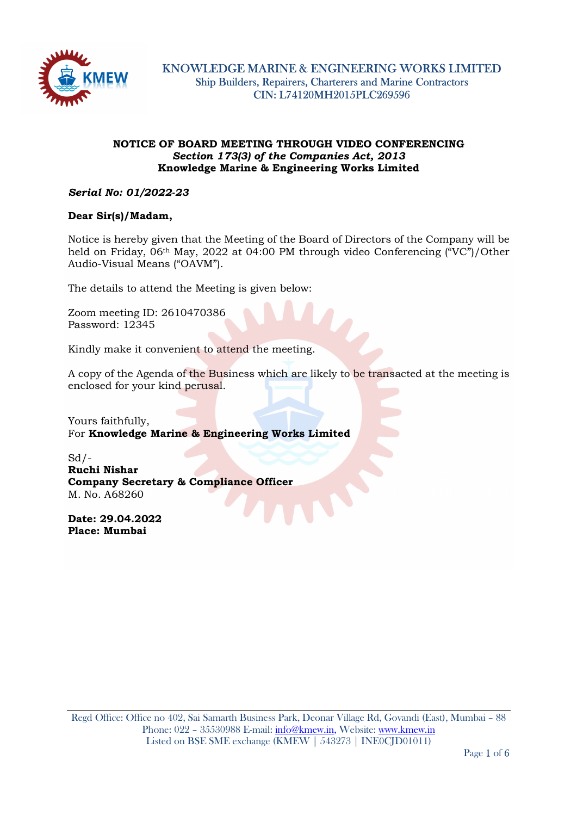

## NOTICE OF BOARD MEETING THROUGH VIDEO CONFERENCING Section 173(3) of the Companies Act, 2013 Knowledge Marine & Engineering Works Limited

# Serial No: 01/2022-23

### Dear Sir(s)/Madam,

Notice is hereby given that the Meeting of the Board of Directors of the Company will be held on Friday, 06th May, 2022 at 04:00 PM through video Conferencing ("VC")/Other Audio-Visual Means ("OAVM").

The details to attend the Meeting is given below:

Zoom meeting ID: 2610470386 Password: 12345

Kindly make it convenient to attend the meeting.

A copy of the Agenda of the Business which are likely to be transacted at the meeting is enclosed for your kind perusal.

Yours faithfully, For Knowledge Marine & Engineering Works Limited

 $Sd$  /-Ruchi Nishar Company Secretary & Compliance Officer M. No. A68260

Date: 29.04.2022 Place: Mumbai